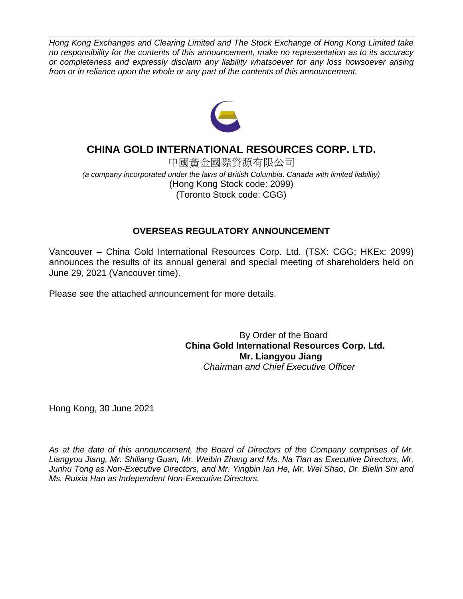*Hong Kong Exchanges and Clearing Limited and The Stock Exchange of Hong Kong Limited take no responsibility for the contents of this announcement, make no representation as to its accuracy or completeness and expressly disclaim any liability whatsoever for any loss howsoever arising from or in reliance upon the whole or any part of the contents of this announcement.*



## **CHINA GOLD INTERNATIONAL RESOURCES CORP. LTD.**

中國黃金國際資源有限公司 *(a company incorporated under the laws of British Columbia, Canada with limited liability)* (Hong Kong Stock code: 2099) (Toronto Stock code: CGG)

## **OVERSEAS REGULATORY ANNOUNCEMENT**

Vancouver – China Gold International Resources Corp. Ltd. (TSX: CGG; HKEx: 2099) announces the results of its annual general and special meeting of shareholders held on June 29, 2021 (Vancouver time).

Please see the attached announcement for more details.

By Order of the Board **China Gold International Resources Corp. Ltd. Mr. Liangyou Jiang** *Chairman and Chief Executive Officer*

Hong Kong, 30 June 2021

*As at the date of this announcement, the Board of Directors of the Company comprises of Mr. Liangyou Jiang, Mr. Shiliang Guan, Mr. Weibin Zhang and Ms. Na Tian as Executive Directors, Mr. Junhu Tong as Non-Executive Directors, and Mr. Yingbin Ian He, Mr. Wei Shao, Dr. Bielin Shi and Ms. Ruixia Han as Independent Non-Executive Directors.*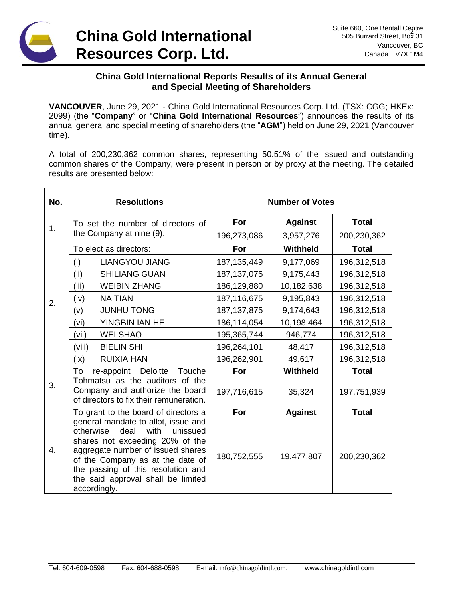# **China Gold International Resources Corp. Ltd.**

### **China Gold International Reports Results of its Annual General and Special Meeting of Shareholders**

**VANCOUVER**, June 29, 2021 - China Gold International Resources Corp. Ltd. (TSX: CGG; HKEx: 2099) (the "**Company**" or "**China Gold International Resources**") announces the results of its annual general and special meeting of shareholders (the "**AGM**") held on June 29, 2021 (Vancouver time).

A total of 200,230,362 common shares, representing 50.51% of the issued and outstanding common shares of the Company, were present in person or by proxy at the meeting. The detailed results are presented below:

| No. | <b>Resolutions</b>                                                                                            |                                                                                                                                                                                                                                                                         | <b>Number of Votes</b> |                 |              |
|-----|---------------------------------------------------------------------------------------------------------------|-------------------------------------------------------------------------------------------------------------------------------------------------------------------------------------------------------------------------------------------------------------------------|------------------------|-----------------|--------------|
| 1.  | To set the number of directors of<br>the Company at nine (9).                                                 |                                                                                                                                                                                                                                                                         | For                    | <b>Against</b>  | <b>Total</b> |
|     |                                                                                                               |                                                                                                                                                                                                                                                                         | 196,273,086            | 3,957,276       | 200,230,362  |
| 2.  | To elect as directors:                                                                                        |                                                                                                                                                                                                                                                                         | For                    | <b>Withheld</b> | <b>Total</b> |
|     | (i)                                                                                                           | <b>LIANGYOU JIANG</b>                                                                                                                                                                                                                                                   | 187, 135, 449          | 9,177,069       | 196,312,518  |
|     | (ii)                                                                                                          | <b>SHILIANG GUAN</b>                                                                                                                                                                                                                                                    | 187, 137, 075          | 9,175,443       | 196,312,518  |
|     | (iii)                                                                                                         | <b>WEIBIN ZHANG</b>                                                                                                                                                                                                                                                     | 186,129,880            | 10,182,638      | 196,312,518  |
|     | (iv)                                                                                                          | <b>NA TIAN</b>                                                                                                                                                                                                                                                          | 187,116,675            | 9,195,843       | 196,312,518  |
|     | (v)                                                                                                           | <b>JUNHU TONG</b>                                                                                                                                                                                                                                                       | 187, 137, 875          | 9,174,643       | 196,312,518  |
|     | (vi)                                                                                                          | YINGBIN IAN HE                                                                                                                                                                                                                                                          | 186,114,054            | 10,198,464      | 196,312,518  |
|     | (vii)                                                                                                         | <b>WEI SHAO</b>                                                                                                                                                                                                                                                         | 195,365,744            | 946,774         | 196,312,518  |
|     | (viii)                                                                                                        | <b>BIELIN SHI</b>                                                                                                                                                                                                                                                       | 196,264,101            | 48,417          | 196,312,518  |
|     | (ix)                                                                                                          | <b>RUIXIA HAN</b>                                                                                                                                                                                                                                                       | 196,262,901            | 49,617          | 196,312,518  |
| 3.  | To<br>re-appoint Deloitte<br>Touche                                                                           |                                                                                                                                                                                                                                                                         | For                    | Withheld        | <b>Total</b> |
|     | Tohmatsu as the auditors of the<br>Company and authorize the board<br>of directors to fix their remuneration. |                                                                                                                                                                                                                                                                         | 197,716,615            | 35,324          | 197,751,939  |
|     | To grant to the board of directors a                                                                          |                                                                                                                                                                                                                                                                         | For                    | <b>Against</b>  | <b>Total</b> |
| 4.  | otherwise                                                                                                     | general mandate to allot, issue and<br>deal<br>with<br>unissued<br>shares not exceeding 20% of the<br>aggregate number of issued shares<br>of the Company as at the date of<br>the passing of this resolution and<br>the said approval shall be limited<br>accordingly. | 180,752,555            | 19,477,807      | 200,230,362  |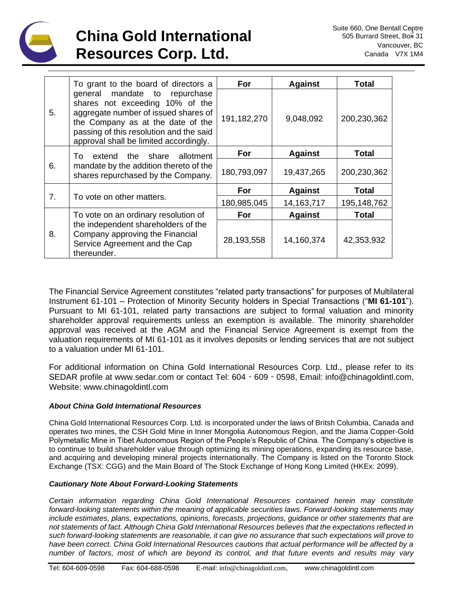

|    | To grant to the board of directors a                                                                                                                                                                                               | For         | <b>Against</b> | Total        |
|----|------------------------------------------------------------------------------------------------------------------------------------------------------------------------------------------------------------------------------------|-------------|----------------|--------------|
| 5. | general mandate to repurchase<br>shares not exceeding 10% of the<br>aggregate number of issued shares of<br>the Company as at the date of the<br>passing of this resolution and the said<br>approval shall be limited accordingly. | 191,182,270 | 9,048,092      | 200,230,362  |
| 6. | share<br>To<br>extend the<br>allotment                                                                                                                                                                                             | For         | <b>Against</b> | Total        |
|    | mandate by the addition thereto of the<br>shares repurchased by the Company.                                                                                                                                                       | 180,793,097 | 19,437,265     | 200,230,362  |
| 7. |                                                                                                                                                                                                                                    | For         | <b>Against</b> | <b>Total</b> |
|    | To vote on other matters.                                                                                                                                                                                                          | 180,985,045 | 14, 163, 717   | 195,148,762  |
| 8. | To vote on an ordinary resolution of                                                                                                                                                                                               | For         | <b>Against</b> | <b>Total</b> |
|    | the independent shareholders of the<br>Company approving the Financial<br>Service Agreement and the Cap<br>thereunder.                                                                                                             | 28,193,558  | 14,160,374     | 42,353,932   |

The Financial Service Agreement constitutes "related party transactions" for purposes of Multilateral Instrument 61-101 – Protection of Minority Security holders in Special Transactions ("**MI 61-101**"). Pursuant to MI 61-101, related party transactions are subject to formal valuation and minority shareholder approval requirements unless an exemption is available. The minority shareholder approval was received at the AGM and the Financial Service Agreement is exempt from the valuation requirements of MI 61-101 as it involves deposits or lending services that are not subject to a valuation under MI 61-101.

For additional information on China Gold International Resources Corp. Ltd., please refer to its SEDAR profile at www.sedar.com or contact Tel: 604‐609‐0598, Email: info@chinagoldintl.com, Website: www.chinagoldintl.com

#### *About China Gold International Resources*

China Gold International Resources Corp. Ltd. is incorporated under the laws of Britsh Columbia, Canada and operates two mines, the CSH Gold Mine in Inner Mongolia Autonomous Region, and the Jiama Copper-Gold Polymetallic Mine in Tibet Autonomous Region of the People's Republic of China. The Company's objective is to continue to build shareholder value through optimizing its mining operations, expanding its resource base, and acquiring and developing mineral projects internationally. The Company is listed on the Toronto Stock Exchange (TSX: CGG) and the Main Board of The Stock Exchange of Hong Kong Limited (HKEx: 2099).

#### *Cautionary Note About Forward-Looking Statements*

*Certain information regarding China Gold International Resources contained herein may constitute forward-looking statements within the meaning of applicable securities laws. Forward-looking statements may include estimates, plans, expectations, opinions, forecasts, projections, guidance or other statements that are not statements of fact. Although China Gold International Resources believes that the expectations reflected in such forward-looking statements are reasonable, it can give no assurance that such expectations will prove to have been correct. China Gold International Resources cautions that actual performance will be affected by a number of factors, most of which are beyond its control, and that future events and results may vary*